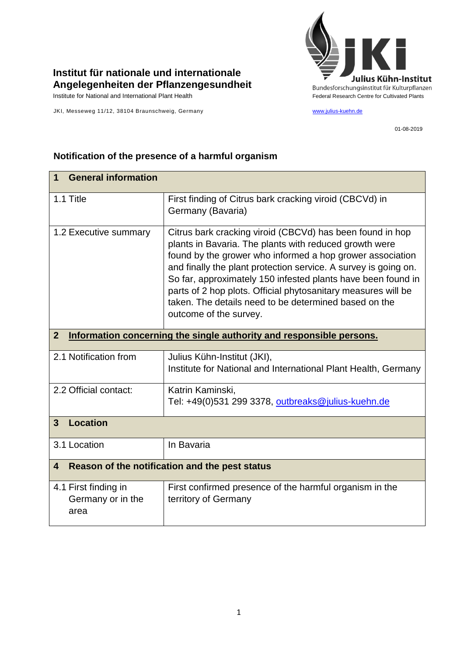

## **Institut für nationale und internationale Angelegenheiten der Pflanzengesundheit**

JKI, Messeweg 11/12, 38104 Braunschweig, Germany [www.julius-kuehn.de](http://www.julius-kuehn.de/)

01-08-2019

| <b>General information</b><br>1                                                        |                                                                                                                                                                                                                                                                                                                                                                                                                                                                         |  |
|----------------------------------------------------------------------------------------|-------------------------------------------------------------------------------------------------------------------------------------------------------------------------------------------------------------------------------------------------------------------------------------------------------------------------------------------------------------------------------------------------------------------------------------------------------------------------|--|
| 1.1 Title                                                                              | First finding of Citrus bark cracking viroid (CBCVd) in<br>Germany (Bavaria)                                                                                                                                                                                                                                                                                                                                                                                            |  |
| 1.2 Executive summary                                                                  | Citrus bark cracking viroid (CBCVd) has been found in hop<br>plants in Bavaria. The plants with reduced growth were<br>found by the grower who informed a hop grower association<br>and finally the plant protection service. A survey is going on.<br>So far, approximately 150 infested plants have been found in<br>parts of 2 hop plots. Official phytosanitary measures will be<br>taken. The details need to be determined based on the<br>outcome of the survey. |  |
| $\overline{2}$<br>Information concerning the single authority and responsible persons. |                                                                                                                                                                                                                                                                                                                                                                                                                                                                         |  |
| 2.1 Notification from                                                                  | Julius Kühn-Institut (JKI),<br>Institute for National and International Plant Health, Germany                                                                                                                                                                                                                                                                                                                                                                           |  |
| 2.2 Official contact:                                                                  | Katrin Kaminski,<br>Tel: +49(0)531 299 3378, outbreaks@julius-kuehn.de                                                                                                                                                                                                                                                                                                                                                                                                  |  |
| <b>Location</b><br>3                                                                   |                                                                                                                                                                                                                                                                                                                                                                                                                                                                         |  |
| 3.1 Location                                                                           | In Bavaria                                                                                                                                                                                                                                                                                                                                                                                                                                                              |  |
| Reason of the notification and the pest status<br>$\overline{\mathbf{4}}$              |                                                                                                                                                                                                                                                                                                                                                                                                                                                                         |  |
| 4.1 First finding in<br>Germany or in the<br>area                                      | First confirmed presence of the harmful organism in the<br>territory of Germany                                                                                                                                                                                                                                                                                                                                                                                         |  |

## **Notification of the presence of a harmful organism**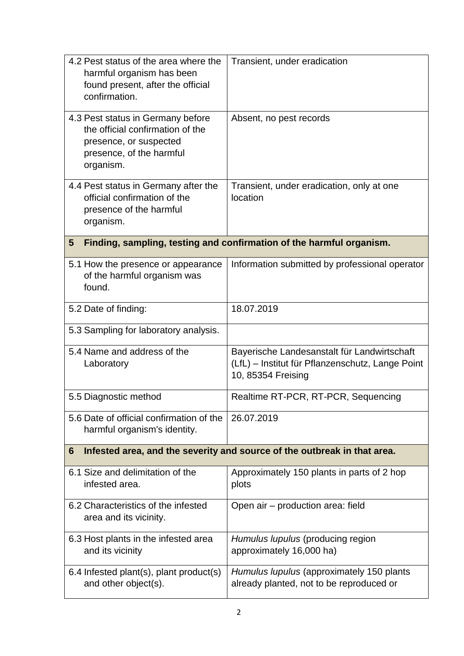| 4.2 Pest status of the area where the<br>harmful organism has been<br>found present, after the official<br>confirmation.                 | Transient, under eradication                                                                                          |  |
|------------------------------------------------------------------------------------------------------------------------------------------|-----------------------------------------------------------------------------------------------------------------------|--|
| 4.3 Pest status in Germany before<br>the official confirmation of the<br>presence, or suspected<br>presence, of the harmful<br>organism. | Absent, no pest records                                                                                               |  |
| 4.4 Pest status in Germany after the<br>official confirmation of the<br>presence of the harmful<br>organism.                             | Transient, under eradication, only at one<br>location                                                                 |  |
| Finding, sampling, testing and confirmation of the harmful organism.<br>$5\phantom{.0}$                                                  |                                                                                                                       |  |
| 5.1 How the presence or appearance<br>of the harmful organism was<br>found.                                                              | Information submitted by professional operator                                                                        |  |
| 5.2 Date of finding:                                                                                                                     | 18.07.2019                                                                                                            |  |
| 5.3 Sampling for laboratory analysis.                                                                                                    |                                                                                                                       |  |
| 5.4 Name and address of the<br>Laboratory                                                                                                | Bayerische Landesanstalt für Landwirtschaft<br>(LfL) - Institut für Pflanzenschutz, Lange Point<br>10, 85354 Freising |  |
| 5.5 Diagnostic method                                                                                                                    | Realtime RT-PCR, RT-PCR, Sequencing                                                                                   |  |
| 5.6 Date of official confirmation of the<br>harmful organism's identity.                                                                 | 26.07.2019                                                                                                            |  |
| Infested area, and the severity and source of the outbreak in that area.<br>6                                                            |                                                                                                                       |  |
| 6.1 Size and delimitation of the<br>infested area.                                                                                       | Approximately 150 plants in parts of 2 hop<br>plots                                                                   |  |
| 6.2 Characteristics of the infested<br>area and its vicinity.                                                                            | Open air – production area: field                                                                                     |  |
| 6.3 Host plants in the infested area<br>and its vicinity                                                                                 | Humulus lupulus (producing region<br>approximately 16,000 ha)                                                         |  |
| 6.4 Infested plant(s), plant product(s)<br>and other object(s).                                                                          | Humulus lupulus (approximately 150 plants<br>already planted, not to be reproduced or                                 |  |